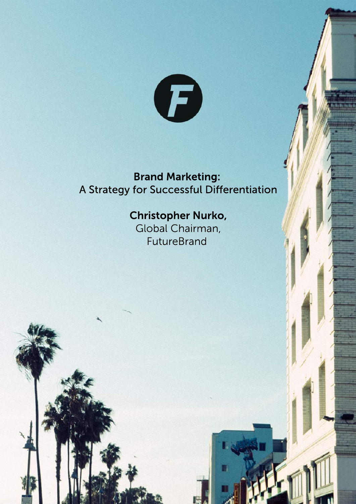

## **Brand Marketing:** A Strategy for Successful Differentiation

# Christopher Nurko,

Global Chairman, FutureBrand

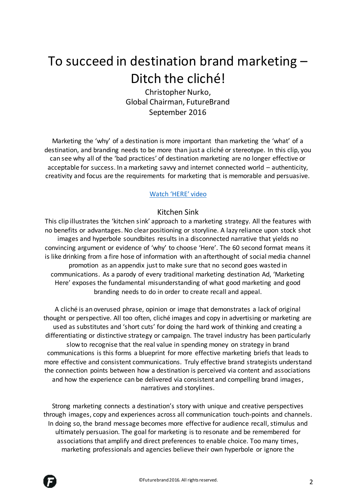# To succeed in destination brand marketing – Ditch the cliché!

Christopher Nurko, Global Chairman, FutureBrand September 2016

Marketing the 'why' of a destination is more important than marketing the 'what' of a destination, and branding needs to be more than just a cliché or stereotype. In this clip, you can see why all of the 'bad practices' of destination marketing are no longer effective or acceptable for success. In a marketing savvy and internet connected world – authenticity, creativity and focus are the requirements for marketing that is memorable and persuasive.

### [Watch 'HERE' video](https://vimeo.com/167094488)

## Kitchen Sink

This clip illustrates the 'kitchen sink' approach to a marketing strategy. All the features with no benefits or advantages. No clear positioning or storyline. A lazy reliance upon stock shot images and hyperbole soundbites results in a disconnected narrative that yields no convincing argument or evidence of 'why' to choose 'Here'. The 60 second format means it is like drinking from a fire hose of information with an afterthought of social media channel promotion as an appendix just to make sure that no second goes wasted in communications. As a parody of every traditional marketing destination Ad, 'Marketing Here' exposes the fundamental misunderstanding of what good marketing and good branding needs to do in order to create recall and appeal.

A cliché is an overused phrase, opinion or image that demonstrates a lack of original thought or perspective. All too often, cliché images and copy in advertising or marketing are used as substitutes and 'short cuts' for doing the hard work of thinking and creating a differentiating or distinctive strategy or campaign. The travel industry has been particularly slow to recognise that the real value in spending money on strategy in brand communications is this forms a blueprint for more effective marketing briefs that leads to more effective and consistent communications. Truly effective brand strategists understand the connection points between how a destination is perceived via content and associations and how the experience can be delivered via consistent and compelling brand images, narratives and storylines.

Strong marketing connects a destination's story with unique and creative perspectives through images, copy and experiences across all communication touch-points and channels. In doing so, the brand message becomes more effective for audience recall, stimulus and ultimately persuasion. The goal for marketing is to resonate and be remembered for associations that amplify and direct preferences to enable choice. Too many times, marketing professionals and agencies believe their own hyperbole or ignore the

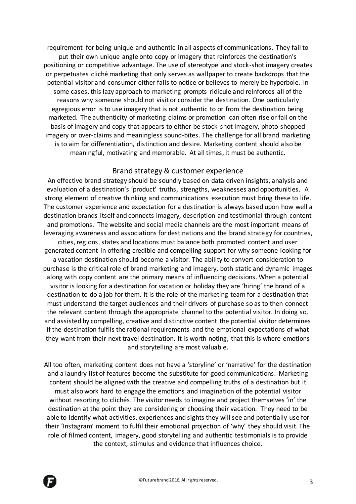requirement for being unique and authentic in all aspects of communications. They fail to put their own unique angle onto copy or imagery that reinforces the destination's positioning or competitive advantage. The use of stereotype and stock-shot imagery creates or perpetuates cliché marketing that only serves as wallpaper to create backdrops that the potential visitor and consumer either fails to notice or believes to merely be hyperbole. In some cases, this lazy approach to marketing prompts ridicule and reinforces all of the reasons why someone should not visit or consider the destination. One particularly egregious error is to use imagery that is not authentic to or from the destination being marketed. The authenticity of marketing claims or promotion can often rise or fall on the basis of imagery and copy that appears to either be stock-shot imagery, photo-shopped imagery or over-claims and meaningless sound-bites. The challenge for all brand marketing is to aim for differentiation, distinction and desire. Marketing content should also be meaningful, motivating and memorable. At all times, it must be authentic.

#### Brand strategy & customer experience

An effective brand strategy should be soundly based on data driven insights, analysis and evaluation of a destination's 'product' truths, strengths, weaknesses and opportunities. A strong element of creative thinking and communications execution must bring these to life. The customer experience and expectation for a destination is always based upon how well a destination brands itself and connects imagery, description and testimonial through content and promotions. The website and social media channels are the most important means of leveraging awareness and associations for destinations and the brand strategy for countries, cities, regions, states and locations must balance both promoted content and user generated content in offering credible and compelling support for why someone looking for a vacation destination should become a visitor. The ability to convert consideration to

purchase is the critical role of brand marketing and imagery, both static and dynamic images along with copy content are the primary means of influencing decisions. When a potential visitor is looking for a destination for vacation or holiday they are 'hiring' the brand of a destination to do a job for them. It is the role of the marketing team for a destination that must understand the target audiences and their drivers of purchase so as to then connect the relevant content through the appropriate channel to the potential visitor. In doing so, and assisted by compelling, creative and distinctive content the potential visitor determines if the destination fulfils the rational requirements and the emotional expectations of what they want from their next travel destination. It is worth noting, that this is where emotions and storytelling are most valuable.

All too often, marketing content does not have a 'storyline' or 'narrative' for the destination and a laundry list of features become the substitute for good communications. Marketing content should be aligned with the creative and compelling truths of a destination but it must also work hard to engage the emotions and imagination of the potential visitor without resorting to clichés. The visitor needs to imagine and project themselves 'in' the destination at the point they are considering or choosing their vacation. They need to be able to identify what activities, experiences and sights they will see and potentially use for their 'Instagram' moment to fulfil their emotional projection of 'why' they should visit. The role of filmed content, imagery, good storytelling and authentic testimonials is to provide the context, stimulus and evidence that influences choice.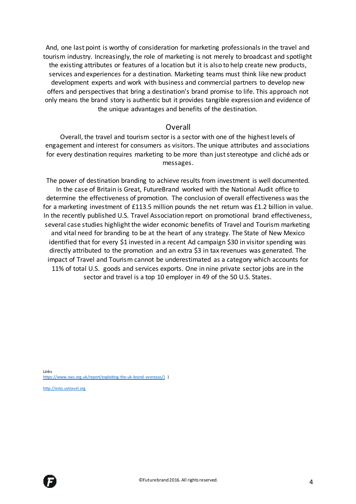And, one last point is worthy of consideration for marketing professionals in the travel and tourism industry. Increasingly, the role of marketing is not merely to broadcast and spotlight the existing attributes or features of a location but it is also to help create new products, services and experiences for a destination. Marketing teams must think like new product development experts and work with business and commercial partners to develop new offers and perspectives that bring a destination's brand promise to life. This approach not only means the brand story is authentic but it provides tangible expression and evidence of the unique advantages and benefits of the destination.

#### Overall

Overall, the travel and tourism sector is a sector with one of the highest levels of engagement and interest for consumers as visitors. The unique attributes and associations for every destination requires marketing to be more than just stereotype and cliché ads or messages.

The power of destination branding to achieve results from investment is well documented. In the case of Britain is Great, FutureBrand worked with the National Audit office to determine the effectiveness of promotion. The conclusion of overall effectiveness was the for a marketing investment of £113.5 million pounds the net return was £1.2 billion in value. In the recently published U.S. Travel Association report on promotional brand effectiveness, several case studies highlight the wider economic benefits of Travel and Tourism marketing and vital need for branding to be at the heart of any strategy. The State of New Mexico identified that for every \$1 invested in a recent Ad campaign \$30 in visitor spending was directly attributed to the promotion and an extra \$3 in tax revenues was generated. The impact of Travel and Tourism cannot be underestimated as a category which accounts for 11% of total U.S. goods and services exports. One in nine private sector jobs are in the sector and travel is a top 10 employer in 49 of the 50 U.S. States.

Links [https://www.nao.org.uk/report/exploiting-the-uk-brand-overseas/\)](https://www.nao.org.uk/report/exploiting-the-uk-brand-overseas/)) )

[http://esto.ustravel.org](http://esto.ustravel.org/)